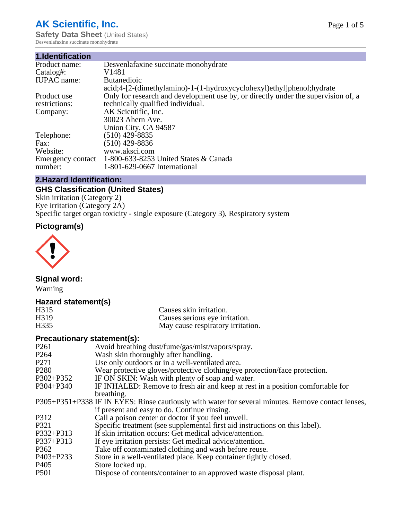# **AK Scientific, Inc.**

**Safety Data Sheet (United States)** Desvenlafaxine succinate monohydrate

#### **1.Identification**

| Desvenlafaxine succinate monohydrate                                              |
|-----------------------------------------------------------------------------------|
| V1481                                                                             |
| <b>Butanedioic</b>                                                                |
| acid;4-[2-(dimethylamino)-1-(1-hydroxycyclohexyl)ethyl]phenol;hydrate             |
| Only for research and development use by, or directly under the supervision of, a |
| technically qualified individual.                                                 |
| AK Scientific, Inc.                                                               |
| 30023 Ahern Ave.                                                                  |
| Union City, CA 94587                                                              |
| $(510)$ 429-8835                                                                  |
| $(510)$ 429-8836                                                                  |
| www.aksci.com                                                                     |
| 1-800-633-8253 United States & Canada                                             |
| 1-801-629-0667 International                                                      |
|                                                                                   |

### **2.Hazard Identification:**

# **GHS Classification (United States)**

Skin irritation (Category 2) Eye irritation (Category 2A) Specific target organ toxicity - single exposure (Category 3), Respiratory system

# **Pictogram(s)**



# **Signal word:**

Warning

### **Hazard statement(s)**

| H315              | Causes skin irritation.           |
|-------------------|-----------------------------------|
| H <sub>3</sub> 19 | Causes serious eye irritation.    |
| H335              | May cause respiratory irritation. |

### **Precautionary statement(s):**

| P <sub>261</sub> | Avoid breathing dust/fume/gas/mist/vapors/spray.                                                   |
|------------------|----------------------------------------------------------------------------------------------------|
| P <sub>264</sub> | Wash skin thoroughly after handling.                                                               |
| P <sub>271</sub> | Use only outdoors or in a well-ventilated area.                                                    |
| P <sub>280</sub> | Wear protective gloves/protective clothing/eye protection/face protection.                         |
| P302+P352        | IF ON SKIN: Wash with plenty of soap and water.                                                    |
| $P304 + P340$    | IF INHALED: Remove to fresh air and keep at rest in a position comfortable for                     |
|                  | breathing.                                                                                         |
|                  | P305+P351+P338 IF IN EYES: Rinse cautiously with water for several minutes. Remove contact lenses, |
|                  | if present and easy to do. Continue rinsing.                                                       |
| P312             | Call a poison center or doctor if you feel unwell.                                                 |
| P321             | Specific treatment (see supplemental first aid instructions on this label).                        |
| P332+P313        | If skin irritation occurs: Get medical advice/attention.                                           |
| P337+P313        | If eye irritation persists: Get medical advice/attention.                                          |
| P362             | Take off contaminated clothing and wash before reuse.                                              |
| P403+P233        | Store in a well-ventilated place. Keep container tightly closed.                                   |
| P <sub>405</sub> | Store locked up.                                                                                   |
| <b>P501</b>      | Dispose of contents/container to an approved waste disposal plant.                                 |
|                  |                                                                                                    |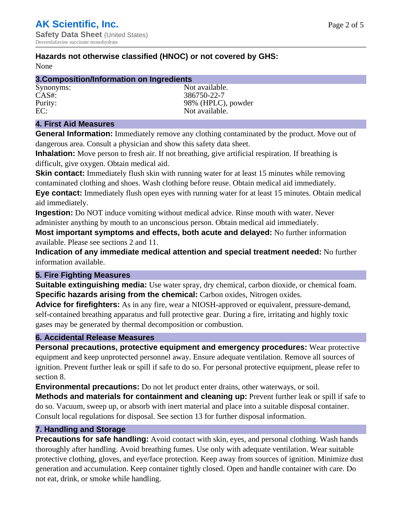# **Hazards not otherwise classified (HNOC) or not covered by GHS:**

None

| 3. Composition/Information on Ingredients |                    |  |
|-------------------------------------------|--------------------|--|
| Synonyms:                                 | Not available.     |  |
| $CAS#$ :                                  | 386750-22-7        |  |
| Purity:                                   | 98% (HPLC), powder |  |
| EC:                                       | Not available.     |  |

# **4. First Aid Measures**

**General Information:** Immediately remove any clothing contaminated by the product. Move out of dangerous area. Consult a physician and show this safety data sheet.

**Inhalation:** Move person to fresh air. If not breathing, give artificial respiration. If breathing is difficult, give oxygen. Obtain medical aid.

**Skin contact:** Immediately flush skin with running water for at least 15 minutes while removing contaminated clothing and shoes. Wash clothing before reuse. Obtain medical aid immediately. **Eye contact:** Immediately flush open eyes with running water for at least 15 minutes. Obtain medical aid immediately.

**Ingestion:** Do NOT induce vomiting without medical advice. Rinse mouth with water. Never administer anything by mouth to an unconscious person. Obtain medical aid immediately.

**Most important symptoms and effects, both acute and delayed:** No further information available. Please see sections 2 and 11.

**Indication of any immediate medical attention and special treatment needed:** No further information available.

# **5. Fire Fighting Measures**

**Suitable extinguishing media:** Use water spray, dry chemical, carbon dioxide, or chemical foam. **Specific hazards arising from the chemical:** Carbon oxides, Nitrogen oxides.

**Advice for firefighters:** As in any fire, wear a NIOSH-approved or equivalent, pressure-demand, self-contained breathing apparatus and full protective gear. During a fire, irritating and highly toxic gases may be generated by thermal decomposition or combustion.

# **6. Accidental Release Measures**

**Personal precautions, protective equipment and emergency procedures:** Wear protective equipment and keep unprotected personnel away. Ensure adequate ventilation. Remove all sources of ignition. Prevent further leak or spill if safe to do so. For personal protective equipment, please refer to section 8.

**Environmental precautions:** Do not let product enter drains, other waterways, or soil.

**Methods and materials for containment and cleaning up:** Prevent further leak or spill if safe to do so. Vacuum, sweep up, or absorb with inert material and place into a suitable disposal container. Consult local regulations for disposal. See section 13 for further disposal information.

# **7. Handling and Storage**

**Precautions for safe handling:** Avoid contact with skin, eyes, and personal clothing. Wash hands thoroughly after handling. Avoid breathing fumes. Use only with adequate ventilation. Wear suitable protective clothing, gloves, and eye/face protection. Keep away from sources of ignition. Minimize dust generation and accumulation. Keep container tightly closed. Open and handle container with care. Do not eat, drink, or smoke while handling.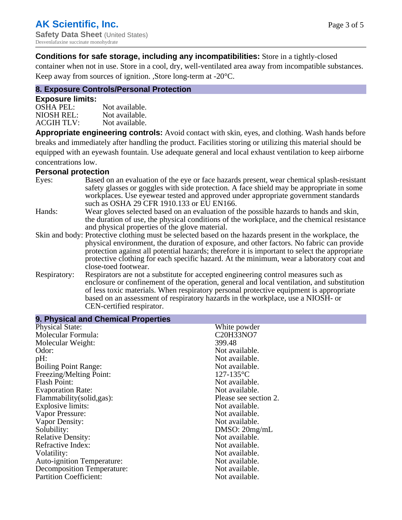### **Conditions for safe storage, including any incompatibilities:** Store in a tightly-closed

container when not in use. Store in a cool, dry, well-ventilated area away from incompatible substances. Keep away from sources of ignition. ,Store long-term at -20°C.

# **8. Exposure Controls/Personal Protection**

#### **Exposure limits:**

| <b>OSHA PEL:</b>  | Not available. |
|-------------------|----------------|
| NIOSH REL:        | Not available. |
| <b>ACGIH TLV:</b> | Not available. |

**Appropriate engineering controls:** Avoid contact with skin, eyes, and clothing. Wash hands before breaks and immediately after handling the product. Facilities storing or utilizing this material should be equipped with an eyewash fountain. Use adequate general and local exhaust ventilation to keep airborne concentrations low.

#### **Personal protection**

| Eyes:        | Based on an evaluation of the eye or face hazards present, wear chemical splash-resistant<br>safety glasses or goggles with side protection. A face shield may be appropriate in some<br>workplaces. Use eyewear tested and approved under appropriate government standards<br>such as OSHA 29 CFR 1910.133 or EU EN166.                                                                                                |
|--------------|-------------------------------------------------------------------------------------------------------------------------------------------------------------------------------------------------------------------------------------------------------------------------------------------------------------------------------------------------------------------------------------------------------------------------|
| Hands:       | Wear gloves selected based on an evaluation of the possible hazards to hands and skin,<br>the duration of use, the physical conditions of the workplace, and the chemical resistance<br>and physical properties of the glove material.                                                                                                                                                                                  |
|              | Skin and body: Protective clothing must be selected based on the hazards present in the workplace, the<br>physical environment, the duration of exposure, and other factors. No fabric can provide<br>protection against all potential hazards; therefore it is important to select the appropriate<br>protective clothing for each specific hazard. At the minimum, wear a laboratory coat and<br>close-toed footwear. |
| Respiratory: | Respirators are not a substitute for accepted engineering control measures such as<br>enclosure or confinement of the operation, general and local ventilation, and substitution<br>of less toxic materials. When respiratory personal protective equipment is appropriate<br>based on an assessment of respiratory hazards in the workplace, use a NIOSH- or<br>CEN-certified respirator.                              |

| 9. Physical and Chemical Properties |                       |
|-------------------------------------|-----------------------|
| <b>Physical State:</b>              | White powder          |
| Molecular Formula:                  | C20H33NO7             |
| Molecular Weight:                   | 399.48                |
| Odor:                               | Not available.        |
| pH:                                 | Not available.        |
| <b>Boiling Point Range:</b>         | Not available.        |
| Freezing/Melting Point:             | $127 - 135$ °C        |
| <b>Flash Point:</b>                 | Not available.        |
| <b>Evaporation Rate:</b>            | Not available.        |
| Flammability(solid,gas):            | Please see section 2. |
| <b>Explosive limits:</b>            | Not available.        |
| Vapor Pressure:                     | Not available.        |
| Vapor Density:                      | Not available.        |
| Solubility:                         | DMSO: 20mg/mL         |
| <b>Relative Density:</b>            | Not available.        |
| Refractive Index:                   | Not available.        |
| Volatility:                         | Not available.        |
| <b>Auto-ignition Temperature:</b>   | Not available.        |
| <b>Decomposition Temperature:</b>   | Not available.        |
| <b>Partition Coefficient:</b>       | Not available.        |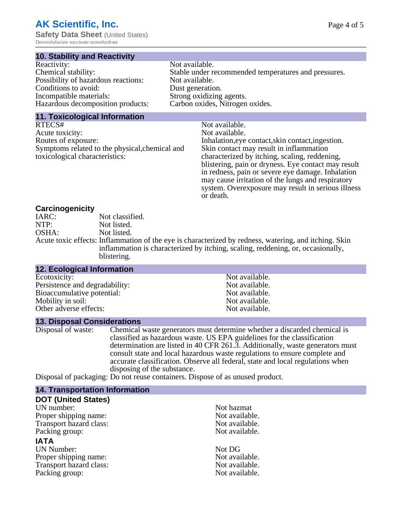# **AK Scientific, Inc.**

**Safety Data Sheet** (United States) Desvenlafaxine succinate monohydrate

#### **10. Stability and Reactivity**

| Reactivity:                         | Not available.                                       |
|-------------------------------------|------------------------------------------------------|
| Chemical stability:                 | Stable under recommended temperatures and pressures. |
| Possibility of hazardous reactions: | Not available.                                       |
| Conditions to avoid:                | Dust generation.                                     |
| Incompatible materials:             | Strong oxidizing agents.                             |
| Hazardous decomposition products:   | Carbon oxides, Nitrogen oxides.                      |
|                                     |                                                      |

#### **11. Toxicological Information**

| RTECS#                                         | Not available.                                      |
|------------------------------------------------|-----------------------------------------------------|
| Acute toxicity:                                | Not available.                                      |
| Routes of exposure:                            | Inhalation, eye contact, skin contact, ingestion.   |
| Symptoms related to the physical, chemical and | Skin contact may result in inflammation             |
| toxicological characteristics:                 | characterized by itching, scaling, reddening,       |
|                                                | blistering, pain or dryness. Eye contact may result |
|                                                | in redness, pain or severe eye damage. Inhalation   |
|                                                | may cause irritation of the lungs and respiratory   |

or death.

system. Overexposure may result in serious illness

### **Carcinogenicity**

| IARC: | Not classified.                                                                                       |
|-------|-------------------------------------------------------------------------------------------------------|
| NTP:  | Not listed.                                                                                           |
| OSHA: | Not listed.                                                                                           |
|       | Acute toxic effects: Inflammation of the eye is characterized by redness, watering, and itching. Skin |
|       | inflammation is characterized by itching, scaling, reddening, or, occasionally,                       |
|       | blistering.                                                                                           |

| <b>12. Ecological Information</b> |                |  |
|-----------------------------------|----------------|--|
| Ecotoxicity:                      | Not available. |  |
| Persistence and degradability:    | Not available. |  |
| Bioaccumulative potential:        | Not available. |  |
| Mobility in soil:                 | Not available. |  |
| Other adverse effects:            | Not available. |  |
|                                   |                |  |

#### **13. Disposal Considerations**

Disposal of waste: Chemical waste generators must determine whether a discarded chemical is classified as hazardous waste. US EPA guidelines for the classification determination are listed in 40 CFR 261.3. Additionally, waste generators must consult state and local hazardous waste regulations to ensure complete and accurate classification. Observe all federal, state and local regulations when disposing of the substance.

Disposal of packaging: Do not reuse containers. Dispose of as unused product.

| <b>14. Transportation Information</b> |                |
|---------------------------------------|----------------|
| <b>DOT (United States)</b>            |                |
| UN number:                            | Not hazmat     |
| Proper shipping name:                 | Not available. |
| Transport hazard class:               | Not available. |
| Packing group:                        | Not available. |
| <b>IATA</b>                           |                |
| <b>UN Number:</b>                     | Not DG         |
| Proper shipping name:                 | Not available. |
| Transport hazard class:               | Not available. |
| Packing group:                        | Not available. |